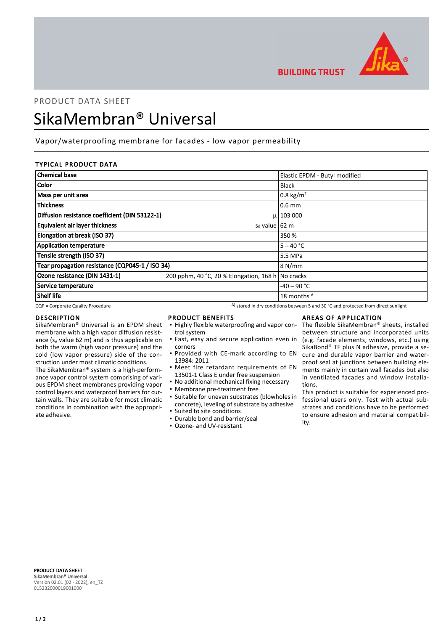

**BUILDING TRUST** 

# PRODUCT DATA SHEET SikaMembran® Universal

# Vapor/waterproofing membrane for facades - low vapor permeability

### TYPICAL PRODUCT DATA

| <b>Chemical base</b>                            |                                                   | Elastic EPDM - Butyl modified |
|-------------------------------------------------|---------------------------------------------------|-------------------------------|
| <b>Color</b>                                    |                                                   | <b>Black</b>                  |
| Mass per unit area                              |                                                   | 0.8 kg/m <sup>2</sup>         |
| <b>Thickness</b>                                |                                                   | $0.6$ mm                      |
| Diffusion resistance coefficient (DIN 53122-1)  |                                                   | $\mu$   103 000               |
| <b>Equivalent air layer thickness</b>           | s <sub>d</sub> value 62 m                         |                               |
| Elongation at break (ISO 37)                    |                                                   | 350 %                         |
| <b>Application temperature</b>                  |                                                   | $5 - 40 °C$                   |
| Tensile strength (ISO 37)                       |                                                   | 5.5 MPa                       |
| Tear propagation resistance (CQP045-1 / ISO 34) |                                                   | 8 N/mm                        |
| Ozone resistance (DIN 1431-1)                   | 200 pphm, 40 °C, 20 % Elongation, 168 h No cracks |                               |
| Service temperature                             |                                                   | $-40 - 90$ °C                 |
| Shelf life                                      |                                                   | 18 months A                   |

 $CQP$  = Corporate Quality Procedure  $A)$  stored in dry conditions between 5 and 30 °C and protected from direct sunlight

#### DESCRIPTION

SikaMembran® Universal is an EPDM sheet membrane with a high vapor diffusion resistance ( $s_d$  value 62 m) and is thus applicable on both the warm (high vapor pressure) and the cold (low vapor pressure) side of the construction under most climatic conditions.

The SikaMembran® system is a high-performance vapor control system comprising of various EPDM sheet membranes providing vapor control layers and waterproof barriers for curtain walls. They are suitable for most climatic conditions in combination with the appropriate adhesive.

#### PRODUCT BENEFITS

- **.** Highly flexible waterproofing and vapor control system
- **·** Fast, easy and secure application even in corners
- **Provided with CE-mark according to EN** 13984: 2011
- **•** Meet fire retardant requirements of EN 13501-1 Class E under free suspension
- No additional mechanical fixing necessary
- Membrane pre-treatment free
- Suitable for uneven substrates (blowholes in concrete), leveling of substrate by adhesive ▪ Suited to site conditions
- Durable bond and barrier/seal
- Ozone- and UV-resistant

## AREAS OF APPLICATION

The flexible SikaMembran® sheets, installed between structure and incorporated units (e.g. facade elements, windows, etc.) using SikaBond® TF plus N adhesive, provide a secure and durable vapor barrier and waterproof seal at junctions between building elements mainly in curtain wall facades but also in ventilated facades and window installations.

This product is suitable for experienced professional users only. Test with actual substrates and conditions have to be performed to ensure adhesion and material compatibility.

PRODUCT DATA SHEET SikaMembran® Universal Version 02.01 (02 - 2022), en\_TZ 015232000019001000